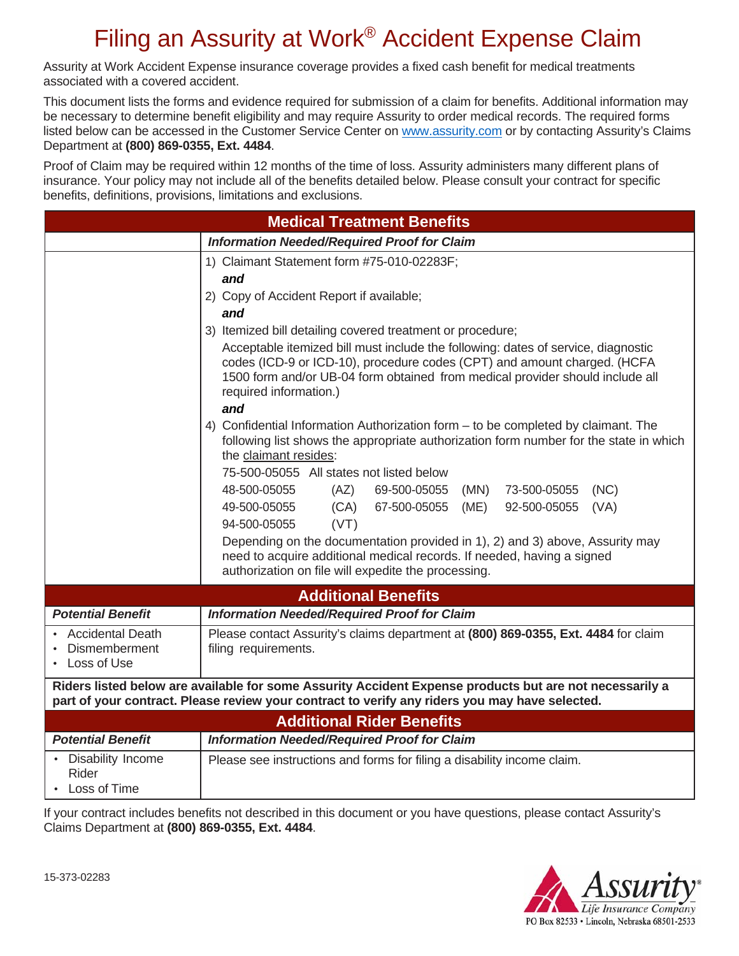# Filing an Assurity at Work® Accident Expense Claim

Assurity at Work Accident Expense insurance coverage provides a fixed cash benefit for medical treatments associated with a covered accident.

This document lists the forms and evidence required for submission of a claim for benefits. Additional information may be necessary to determine benefit eligibility and may require Assurity to order medical records. The required forms listed below can be accessed in the Customer Service Center on www.assurity.com or by contacting Assurity's Claims Department at **(800) 869-0355, Ext. 4484**.

Proof of Claim may be required within 12 months of the time of loss. Assurity administers many different plans of insurance. Your policy may not include all of the benefits detailed below. Please consult your contract for specific benefits, definitions, provisions, limitations and exclusions.

| <b>Medical Treatment Benefits</b>                                                                                                                                                                         |                                                                                                                                                                                                                                                                                                                                                                                                                                                                                                                                                                                                                                                                                                                                                                                                                                                                                                                                                                                                                                                                                                   |  |  |  |  |  |
|-----------------------------------------------------------------------------------------------------------------------------------------------------------------------------------------------------------|---------------------------------------------------------------------------------------------------------------------------------------------------------------------------------------------------------------------------------------------------------------------------------------------------------------------------------------------------------------------------------------------------------------------------------------------------------------------------------------------------------------------------------------------------------------------------------------------------------------------------------------------------------------------------------------------------------------------------------------------------------------------------------------------------------------------------------------------------------------------------------------------------------------------------------------------------------------------------------------------------------------------------------------------------------------------------------------------------|--|--|--|--|--|
| <b>Information Needed/Required Proof for Claim</b>                                                                                                                                                        |                                                                                                                                                                                                                                                                                                                                                                                                                                                                                                                                                                                                                                                                                                                                                                                                                                                                                                                                                                                                                                                                                                   |  |  |  |  |  |
|                                                                                                                                                                                                           | 1) Claimant Statement form #75-010-02283F;<br>and<br>2) Copy of Accident Report if available;<br>and<br>3) Itemized bill detailing covered treatment or procedure;<br>Acceptable itemized bill must include the following: dates of service, diagnostic<br>codes (ICD-9 or ICD-10), procedure codes (CPT) and amount charged. (HCFA<br>1500 form and/or UB-04 form obtained from medical provider should include all<br>required information.)<br>and<br>4) Confidential Information Authorization form – to be completed by claimant. The<br>following list shows the appropriate authorization form number for the state in which<br>the claimant resides:<br>75-500-05055 All states not listed below<br>48-500-05055<br>(AZ)<br>69-500-05055<br>(MN)<br>73-500-05055<br>(NC)<br>(CA)<br>49-500-05055<br>67-500-05055<br>(ME)<br>92-500-05055<br>(VA)<br>94-500-05055<br>(VT)<br>Depending on the documentation provided in 1), 2) and 3) above, Assurity may<br>need to acquire additional medical records. If needed, having a signed<br>authorization on file will expedite the processing. |  |  |  |  |  |
| <b>Additional Benefits</b>                                                                                                                                                                                |                                                                                                                                                                                                                                                                                                                                                                                                                                                                                                                                                                                                                                                                                                                                                                                                                                                                                                                                                                                                                                                                                                   |  |  |  |  |  |
| <b>Potential Benefit</b>                                                                                                                                                                                  | <b>Information Needed/Required Proof for Claim</b>                                                                                                                                                                                                                                                                                                                                                                                                                                                                                                                                                                                                                                                                                                                                                                                                                                                                                                                                                                                                                                                |  |  |  |  |  |
| <b>Accidental Death</b><br>Dismemberment<br>• Loss of Use                                                                                                                                                 | Please contact Assurity's claims department at (800) 869-0355, Ext. 4484 for claim<br>filing requirements.                                                                                                                                                                                                                                                                                                                                                                                                                                                                                                                                                                                                                                                                                                                                                                                                                                                                                                                                                                                        |  |  |  |  |  |
| Riders listed below are available for some Assurity Accident Expense products but are not necessarily a<br>part of your contract. Please review your contract to verify any riders you may have selected. |                                                                                                                                                                                                                                                                                                                                                                                                                                                                                                                                                                                                                                                                                                                                                                                                                                                                                                                                                                                                                                                                                                   |  |  |  |  |  |
| <b>Additional Rider Benefits</b>                                                                                                                                                                          |                                                                                                                                                                                                                                                                                                                                                                                                                                                                                                                                                                                                                                                                                                                                                                                                                                                                                                                                                                                                                                                                                                   |  |  |  |  |  |
| <b>Potential Benefit</b>                                                                                                                                                                                  | <b>Information Needed/Required Proof for Claim</b>                                                                                                                                                                                                                                                                                                                                                                                                                                                                                                                                                                                                                                                                                                                                                                                                                                                                                                                                                                                                                                                |  |  |  |  |  |
| Disability Income<br>Rider<br>• Loss of Time                                                                                                                                                              | Please see instructions and forms for filing a disability income claim.                                                                                                                                                                                                                                                                                                                                                                                                                                                                                                                                                                                                                                                                                                                                                                                                                                                                                                                                                                                                                           |  |  |  |  |  |

If your contract includes benefits not described in this document or you have questions, please contact Assurity's Claims Department at **(800) 869-0355, Ext. 4484**.

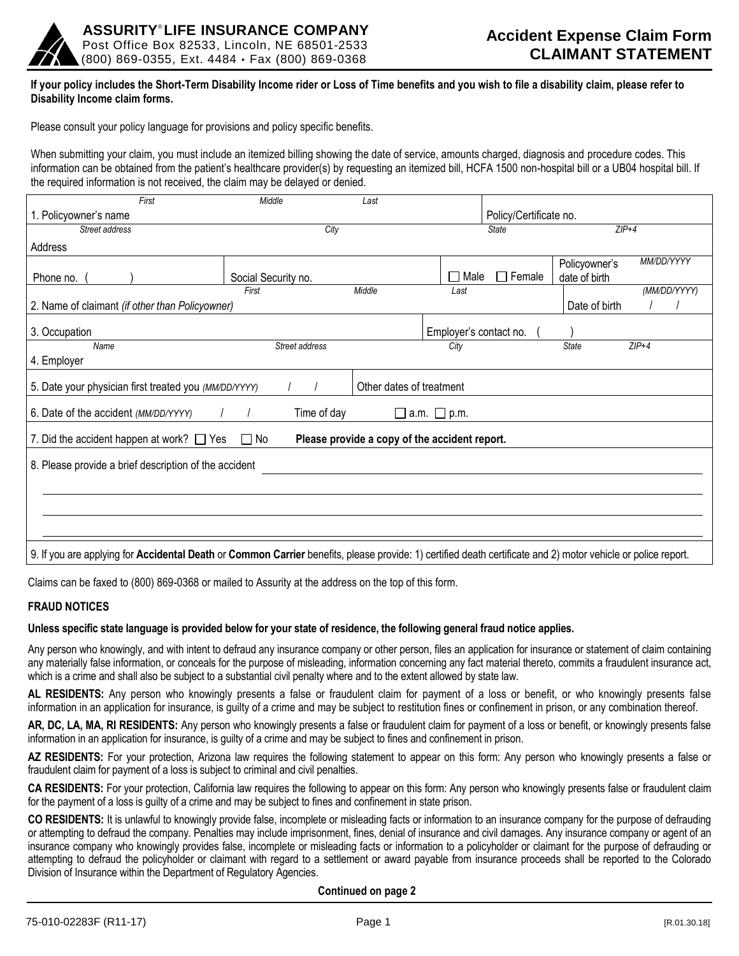

### **If your policy includes the Short-Term Disability Income rider or Loss of Time benefits and you wish to file a disability claim, please refer to Disability Income claim forms.**

Please consult your policy language for provisions and policy specific benefits.

When submitting your claim, you must include an itemized billing showing the date of service, amounts charged, diagnosis and procedure codes. This information can be obtained from the patient's healthcare provider(s) by requesting an itemized bill, HCFA 1500 non-hospital bill or a UB04 hospital bill. If the required information is not received, the claim may be delayed or denied.

| First                                                                                                                                                         | Middle              | Last                          |                        |                        |                                |              |
|---------------------------------------------------------------------------------------------------------------------------------------------------------------|---------------------|-------------------------------|------------------------|------------------------|--------------------------------|--------------|
| 1. Policyowner's name                                                                                                                                         |                     |                               |                        | Policy/Certificate no. |                                |              |
| Street address                                                                                                                                                | City                |                               |                        | <b>State</b>           |                                | $ZIP+4$      |
| Address                                                                                                                                                       |                     |                               |                        |                        |                                |              |
| Phone no.                                                                                                                                                     | Social Security no. |                               | Male<br>$\mathcal{L}$  | $\Box$ Female          | Policyowner's<br>date of birth | MM/DD/YYYY   |
|                                                                                                                                                               | First               | Middle                        | Last                   |                        |                                | (MM/DD/YYYY) |
| 2. Name of claimant (if other than Policyowner)                                                                                                               |                     |                               |                        |                        | Date of birth                  |              |
| 3. Occupation                                                                                                                                                 |                     |                               | Employer's contact no. |                        |                                |              |
| Name                                                                                                                                                          | Street address      |                               | City                   |                        | <b>State</b>                   | $ZIP+4$      |
| 4. Employer                                                                                                                                                   |                     |                               |                        |                        |                                |              |
| 5. Date your physician first treated you (MM/DD/YYYY)<br>Other dates of treatment                                                                             |                     |                               |                        |                        |                                |              |
| 6. Date of the accident (MM/DD/YYYY)                                                                                                                          | Time of day         | $\square$ a.m. $\square$ p.m. |                        |                        |                                |              |
| $\Box$ No<br>7. Did the accident happen at work? $\Box$ Yes<br>Please provide a copy of the accident report.                                                  |                     |                               |                        |                        |                                |              |
| 8. Please provide a brief description of the accident                                                                                                         |                     |                               |                        |                        |                                |              |
|                                                                                                                                                               |                     |                               |                        |                        |                                |              |
|                                                                                                                                                               |                     |                               |                        |                        |                                |              |
|                                                                                                                                                               |                     |                               |                        |                        |                                |              |
|                                                                                                                                                               |                     |                               |                        |                        |                                |              |
| 9. If you are applying for Accidental Death or Common Carrier benefits, please provide: 1) certified death certificate and 2) motor vehicle or police report. |                     |                               |                        |                        |                                |              |

Claims can be faxed to (800) 869-0368 or mailed to Assurity at the address on the top of this form.

### **FRAUD NOTICES**

### **Unless specific state language is provided below for your state of residence, the following general fraud notice applies.**

Any person who knowingly, and with intent to defraud any insurance company or other person, files an application for insurance or statement of claim containing any materially false information, or conceals for the purpose of misleading, information concerning any fact material thereto, commits a fraudulent insurance act, which is a crime and shall also be subject to a substantial civil penalty where and to the extent allowed by state law.

**AL RESIDENTS:** Any person who knowingly presents a false or fraudulent claim for payment of a loss or benefit, or who knowingly presents false information in an application for insurance, is guilty of a crime and may be subject to restitution fines or confinement in prison, or any combination thereof.

**AR, DC, LA, MA, RI RESIDENTS:** Any person who knowingly presents a false or fraudulent claim for payment of a loss or benefit, or knowingly presents false information in an application for insurance, is guilty of a crime and may be subject to fines and confinement in prison.

**AZ RESIDENTS:** For your protection, Arizona law requires the following statement to appear on this form: Any person who knowingly presents a false or fraudulent claim for payment of a loss is subject to criminal and civil penalties.

**CA RESIDENTS:** For your protection, California law requires the following to appear on this form: Any person who knowingly presents false or fraudulent claim for the payment of a loss is guilty of a crime and may be subject to fines and confinement in state prison.

**CO RESIDENTS:** It is unlawful to knowingly provide false, incomplete or misleading facts or information to an insurance company for the purpose of defrauding or attempting to defraud the company. Penalties may include imprisonment, fines, denial of insurance and civil damages. Any insurance company or agent of an insurance company who knowingly provides false, incomplete or misleading facts or information to a policyholder or claimant for the purpose of defrauding or attempting to defraud the policyholder or claimant with regard to a settlement or award payable from insurance proceeds shall be reported to the Colorado Division of Insurance within the Department of Regulatory Agencies.

**Continued on page 2**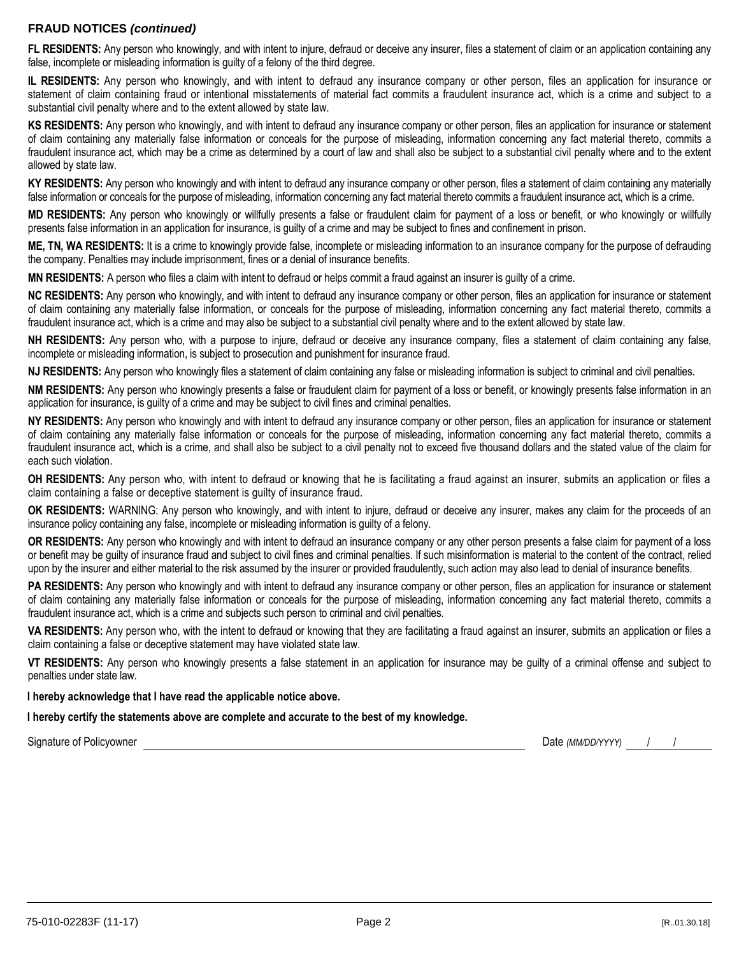## **FRAUD NOTICES** *(continued)*

**FL RESIDENTS:** Any person who knowingly, and with intent to injure, defraud or deceive any insurer, files a statement of claim or an application containing any false, incomplete or misleading information is guilty of a felony of the third degree.

**IL RESIDENTS:** Any person who knowingly, and with intent to defraud any insurance company or other person, files an application for insurance or statement of claim containing fraud or intentional misstatements of material fact commits a fraudulent insurance act, which is a crime and subject to a substantial civil penalty where and to the extent allowed by state law.

**KS RESIDENTS:** Any person who knowingly, and with intent to defraud any insurance company or other person, files an application for insurance or statement of claim containing any materially false information or conceals for the purpose of misleading, information concerning any fact material thereto, commits a fraudulent insurance act, which may be a crime as determined by a court of law and shall also be subject to a substantial civil penalty where and to the extent allowed by state law.

**KY RESIDENTS:** Any person who knowingly and with intent to defraud any insurance company or other person, files a statement of claim containing any materially false information or conceals for the purpose of misleading, information concerning any fact material thereto commits a fraudulent insurance act, which is a crime.

**MD RESIDENTS:** Any person who knowingly or willfully presents a false or fraudulent claim for payment of a loss or benefit, or who knowingly or willfully presents false information in an application for insurance, is guilty of a crime and may be subject to fines and confinement in prison.

**ME, TN, WA RESIDENTS:** It is a crime to knowingly provide false, incomplete or misleading information to an insurance company for the purpose of defrauding the company. Penalties may include imprisonment, fines or a denial of insurance benefits.

**MN RESIDENTS:** A person who files a claim with intent to defraud or helps commit a fraud against an insurer is guilty of a crime.

**NC RESIDENTS:** Any person who knowingly, and with intent to defraud any insurance company or other person, files an application for insurance or statement of claim containing any materially false information, or conceals for the purpose of misleading, information concerning any fact material thereto, commits a fraudulent insurance act, which is a crime and may also be subject to a substantial civil penalty where and to the extent allowed by state law.

**NH RESIDENTS:** Any person who, with a purpose to injure, defraud or deceive any insurance company, files a statement of claim containing any false, incomplete or misleading information, is subject to prosecution and punishment for insurance fraud.

**NJ RESIDENTS:** Any person who knowingly files a statement of claim containing any false or misleading information is subject to criminal and civil penalties.

**NM RESIDENTS:** Any person who knowingly presents a false or fraudulent claim for payment of a loss or benefit, or knowingly presents false information in an application for insurance, is guilty of a crime and may be subject to civil fines and criminal penalties.

**NY RESIDENTS:** Any person who knowingly and with intent to defraud any insurance company or other person, files an application for insurance or statement of claim containing any materially false information or conceals for the purpose of misleading, information concerning any fact material thereto, commits a fraudulent insurance act, which is a crime, and shall also be subject to a civil penalty not to exceed five thousand dollars and the stated value of the claim for each such violation.

**OH RESIDENTS:** Any person who, with intent to defraud or knowing that he is facilitating a fraud against an insurer, submits an application or files a claim containing a false or deceptive statement is guilty of insurance fraud.

**OK RESIDENTS:** WARNING: Any person who knowingly, and with intent to injure, defraud or deceive any insurer, makes any claim for the proceeds of an insurance policy containing any false, incomplete or misleading information is guilty of a felony.

**OR RESIDENTS:** Any person who knowingly and with intent to defraud an insurance company or any other person presents a false claim for payment of a loss or benefit may be guilty of insurance fraud and subject to civil fines and criminal penalties. If such misinformation is material to the content of the contract, relied upon by the insurer and either material to the risk assumed by the insurer or provided fraudulently, such action may also lead to denial of insurance benefits.

**PA RESIDENTS:** Any person who knowingly and with intent to defraud any insurance company or other person, files an application for insurance or statement of claim containing any materially false information or conceals for the purpose of misleading, information concerning any fact material thereto, commits a fraudulent insurance act, which is a crime and subjects such person to criminal and civil penalties.

**VA RESIDENTS:** Any person who, with the intent to defraud or knowing that they are facilitating a fraud against an insurer, submits an application or files a claim containing a false or deceptive statement may have violated state law.

**VT RESIDENTS:** Any person who knowingly presents a false statement in an application for insurance may be guilty of a criminal offense and subject to penalties under state law.

**I hereby acknowledge that I have read the applicable notice above.**

**I hereby certify the statements above are complete and accurate to the best of my knowledge.**

Signature of Policyowner **Date** *(MM/DD/YYYY)* / / /